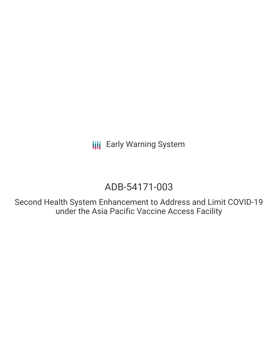# ADB-54171-003

Second Health System Enhancement to Address and Limit COVID-19 under the Asia Pacific Vaccine Access Facility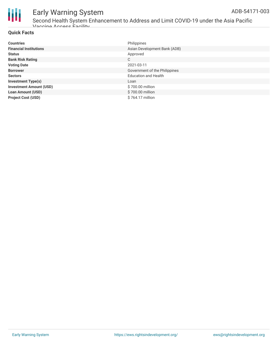

Second Health System Enhancement to Address and Limit COVID-19 under the Asia Pacific Vaccine Access Facility

#### **Quick Facts**

| <b>Countries</b>               | Philippines                   |
|--------------------------------|-------------------------------|
|                                |                               |
| <b>Financial Institutions</b>  | Asian Development Bank (ADB)  |
| <b>Status</b>                  | Approved                      |
| <b>Bank Risk Rating</b>        | C                             |
| <b>Voting Date</b>             | 2021-03-11                    |
| <b>Borrower</b>                | Government of the Philippines |
| <b>Sectors</b>                 | <b>Education and Health</b>   |
| <b>Investment Type(s)</b>      | Loan                          |
| <b>Investment Amount (USD)</b> | \$700.00 million              |
| <b>Loan Amount (USD)</b>       | \$700.00 million              |
| <b>Project Cost (USD)</b>      | \$764.17 million              |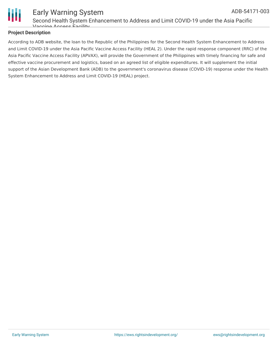

#### Early Warning System Second Health System Enhancement to Address and Limit COVID-19 under the Asia Pacific Vaccine Access Facility ADB-54171-003

#### **Project Description**

According to ADB website, the loan to the Republic of the Philippines for the Second Health System Enhancement to Address and Limit COVID-19 under the Asia Pacific Vaccine Access Facility (HEAL 2). Under the rapid response component (RRC) of the Asia Pacific Vaccine Access Facility (APVAX), will provide the Government of the Philippines with timely financing for safe and effective vaccine procurement and logistics, based on an agreed list of eligible expenditures. It will supplement the initial support of the Asian Development Bank (ADB) to the government's coronavirus disease (COVID-19) response under the Health System Enhancement to Address and Limit COVID-19 (HEAL) project.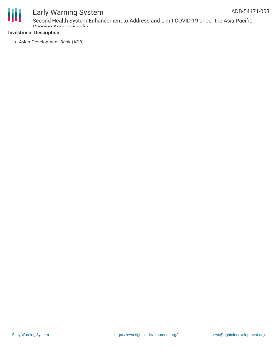

Second Health System Enhancement to Address and Limit COVID-19 under the Asia Pacific Vaccine Access Facility

#### **Investment Description**

Asian Development Bank (ADB)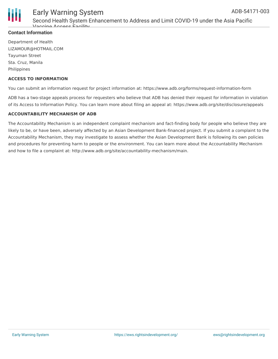



Second Health System Enhancement to Address and Limit COVID-19 under the Asia Pacific Vaccine Access Facility

#### **Contact Information**

Department of Health LIZAMOUR@HOTMAIL.COM Tayuman Street Sta. Cruz, Manila Philippines

#### **ACCESS TO INFORMATION**

You can submit an information request for project information at: https://www.adb.org/forms/request-information-form

ADB has a two-stage appeals process for requesters who believe that ADB has denied their request for information in violation of its Access to Information Policy. You can learn more about filing an appeal at: https://www.adb.org/site/disclosure/appeals

#### **ACCOUNTABILITY MECHANISM OF ADB**

The Accountability Mechanism is an independent complaint mechanism and fact-finding body for people who believe they are likely to be, or have been, adversely affected by an Asian Development Bank-financed project. If you submit a complaint to the Accountability Mechanism, they may investigate to assess whether the Asian Development Bank is following its own policies and procedures for preventing harm to people or the environment. You can learn more about the Accountability Mechanism and how to file a complaint at: http://www.adb.org/site/accountability-mechanism/main.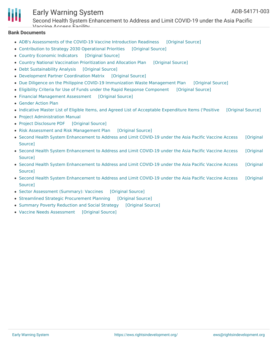

Second Health System Enhancement to Address and Limit COVID-19 under the Asia Pacific Vaccine Access Facility

#### **Bank Documents**

- ADB's [Assessments](https://ewsdata.rightsindevelopment.org/files/documents/03/ADB-54171-003_aGlLjWb.pdf) of the COVID-19 Vaccine Introduction Readiness [\[Original](https://www.adb.org/projects/documents/phi-54171-003-rrp) Source]
- [Contribution](https://ewsdata.rightsindevelopment.org/files/documents/03/ADB-54171-003_QJbcPUN.pdf) to Strategy 2030 Operational Priorities [\[Original](https://www.adb.org/projects/documents/phi-54171-003-rrp) Source]
- Country Economic [Indicators](https://ewsdata.rightsindevelopment.org/files/documents/03/ADB-54171-003_6igCGBJ.pdf) [\[Original](https://www.adb.org/projects/documents/phi-54171-003-rrp) Source]
- Country National Vaccination [Prioritization](https://ewsdata.rightsindevelopment.org/files/documents/03/ADB-54171-003_BLc9iU3.pdf) and Allocation Plan [\[Original](https://www.adb.org/projects/documents/phi-54171-003-rrp) Source]
- Debt [Sustainability](https://ewsdata.rightsindevelopment.org/files/documents/03/ADB-54171-003_J9zchnA.pdf) Analysis [\[Original](https://www.adb.org/projects/documents/phi-54171-003-rrp) Source]
- [Development](https://ewsdata.rightsindevelopment.org/files/documents/03/ADB-54171-003_uSOExza.pdf) Partner Coordination Matrix [\[Original](https://www.adb.org/projects/documents/phi-54171-003-rrp) Source]
- Due Diligence on the Philippine COVID-19 [Immunization](https://ewsdata.rightsindevelopment.org/files/documents/03/ADB-54171-003_OWaxLMD.pdf) Waste Management Plan [\[Original](https://www.adb.org/projects/documents/phi-54171-003-rrp) Source]
- Eligibility Criteria for Use of Funds under the Rapid Response [Component](https://ewsdata.rightsindevelopment.org/files/documents/03/ADB-54171-003_DpDnWA0.pdf) [\[Original](https://www.adb.org/projects/documents/phi-54171-003-rrp) Source]
- Financial [Management](https://ewsdata.rightsindevelopment.org/files/documents/03/ADB-54171-003_oGQtjh7.pdf) Assessment [\[Original](https://www.adb.org/projects/documents/phi-54171-003-rrp) Source]
- [Gender](https://www.adb.org/projects/documents/phi-54171-003-rrp) Action Plan
- Indicative Master List of Eligible Items, and Agreed List of Acceptable [Expenditure](https://ewsdata.rightsindevelopment.org/files/documents/03/ADB-54171-003_WRbcXYq.pdf) Items ('Positive [\[Original](https://www.adb.org/projects/documents/phi-54171-003-rrp) Source]
- Project [Administration](https://www.adb.org/projects/documents/phi-54171-003-rrp) Manual
- Project [Disclosure](https://ewsdata.rightsindevelopment.org/files/documents/03/ADB-54171-003.pdf) PDF [\[Original](https://www.adb.org/printpdf/projects/54171-003/main) Source]
- Risk Assessment and Risk [Management](https://ewsdata.rightsindevelopment.org/files/documents/03/ADB-54171-003_gnUUKsR.pdf) Plan [\[Original](https://www.adb.org/projects/documents/phi-54171-003-rrp) Source]
- Second Health System [Enhancement](https://ewsdata.rightsindevelopment.org/files/documents/03/ADB-54171-003_0Ocf5Wt.pdf) to Address and Limit COVID-19 under the Asia Pacific Vaccine Access [Original Source]
- Second Health System [Enhancement](https://ewsdata.rightsindevelopment.org/files/documents/03/ADB-54171-003_lRFkj6c.pdf) to Address and Limit COVID-19 under the Asia Pacific Vaccine Access [Original Source]
- Second Health System [Enhancement](https://ewsdata.rightsindevelopment.org/files/documents/03/ADB-54171-003_pYMZVPq.pdf) to Address and Limit COVID-19 under the Asia Pacific Vaccine Access [Original Source]
- Second Health System [Enhancement](https://ewsdata.rightsindevelopment.org/files/documents/03/ADB-54171-003_LcczvJM.pdf) to Address and Limit COVID-19 under the Asia Pacific Vaccine Access [Original **Source1**
- Sector [Assessment](https://ewsdata.rightsindevelopment.org/files/documents/03/ADB-54171-003_qRmYbpf.pdf) (Summary): Vaccines [\[Original](https://www.adb.org/projects/documents/phi-54171-003-rrp) Source]
- Streamlined Strategic [Procurement](https://ewsdata.rightsindevelopment.org/files/documents/03/ADB-54171-003_3XsinwZ.pdf) Planning [\[Original](https://www.adb.org/projects/documents/phi-54171-003-rrp) Source]
- Summary Poverty [Reduction](https://ewsdata.rightsindevelopment.org/files/documents/03/ADB-54171-003_gfP87OF.pdf) and Social Strategy [\[Original](https://www.adb.org/projects/documents/phi-54171-003-rrp) Source]
- Vaccine Needs [Assessment](https://ewsdata.rightsindevelopment.org/files/documents/03/ADB-54171-003_4zdaXPq.pdf) [\[Original](https://www.adb.org/projects/documents/phi-54171-003-rrp) Source]